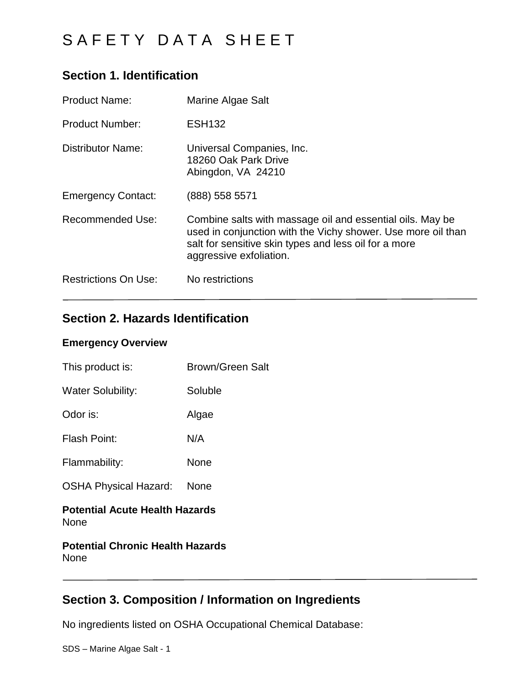## **Section 1. Identification**

| <b>Product Name:</b>        | Marine Algae Salt                                                                                                                                                                                             |
|-----------------------------|---------------------------------------------------------------------------------------------------------------------------------------------------------------------------------------------------------------|
| <b>Product Number:</b>      | <b>ESH132</b>                                                                                                                                                                                                 |
| <b>Distributor Name:</b>    | Universal Companies, Inc.<br>18260 Oak Park Drive<br>Abingdon, VA 24210                                                                                                                                       |
| <b>Emergency Contact:</b>   | (888) 558 5571                                                                                                                                                                                                |
| <b>Recommended Use:</b>     | Combine salts with massage oil and essential oils. May be<br>used in conjunction with the Vichy shower. Use more oil than<br>salt for sensitive skin types and less oil for a more<br>aggressive exfoliation. |
| <b>Restrictions On Use:</b> | No restrictions                                                                                                                                                                                               |

## **Section 2. Hazards Identification**

### **Emergency Overview**

| This product is:             | <b>Brown/Green Salt</b> |
|------------------------------|-------------------------|
| <b>Water Solubility:</b>     | Soluble                 |
| Odor is:                     | Algae                   |
| <b>Flash Point:</b>          | N/A                     |
| Flammability:                | None                    |
| <b>OSHA Physical Hazard:</b> | None                    |
|                              |                         |

### **Potential Acute Health Hazards** None

### **Potential Chronic Health Hazards** None

## **Section 3. Composition / Information on Ingredients**

No ingredients listed on OSHA Occupational Chemical Database: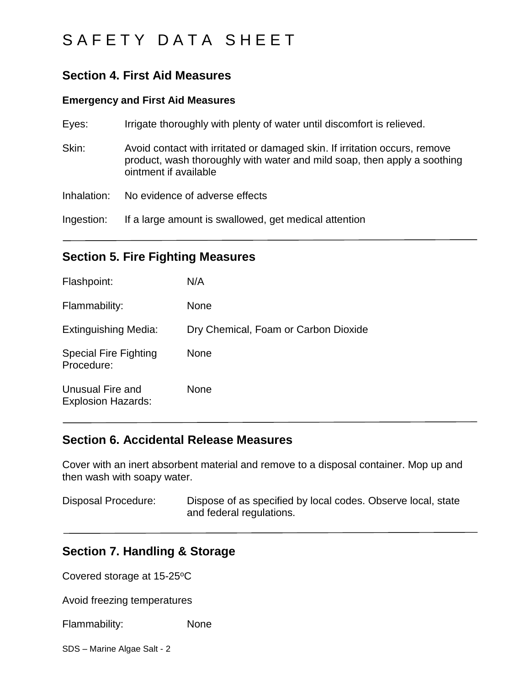## **Section 4. First Aid Measures**

### **Emergency and First Aid Measures**

| Eyes:       | Irrigate thoroughly with plenty of water until discomfort is relieved.                                                                                                          |
|-------------|---------------------------------------------------------------------------------------------------------------------------------------------------------------------------------|
| Skin:       | Avoid contact with irritated or damaged skin. If irritation occurs, remove<br>product, wash thoroughly with water and mild soap, then apply a soothing<br>ointment if available |
| Inhalation: | No evidence of adverse effects                                                                                                                                                  |
| Ingestion:  | If a large amount is swallowed, get medical attention                                                                                                                           |

### **Section 5. Fire Fighting Measures**

| Flashpoint:                                   | N/A                                  |
|-----------------------------------------------|--------------------------------------|
| Flammability:                                 | <b>None</b>                          |
| <b>Extinguishing Media:</b>                   | Dry Chemical, Foam or Carbon Dioxide |
| <b>Special Fire Fighting</b><br>Procedure:    | <b>None</b>                          |
| Unusual Fire and<br><b>Explosion Hazards:</b> | <b>None</b>                          |

### **Section 6. Accidental Release Measures**

Cover with an inert absorbent material and remove to a disposal container. Mop up and then wash with soapy water.

Disposal Procedure: Dispose of as specified by local codes. Observe local, state and federal regulations.

### **Section 7. Handling & Storage**

Covered storage at 15-25°C

Avoid freezing temperatures

Flammability: None

SDS – Marine Algae Salt - 2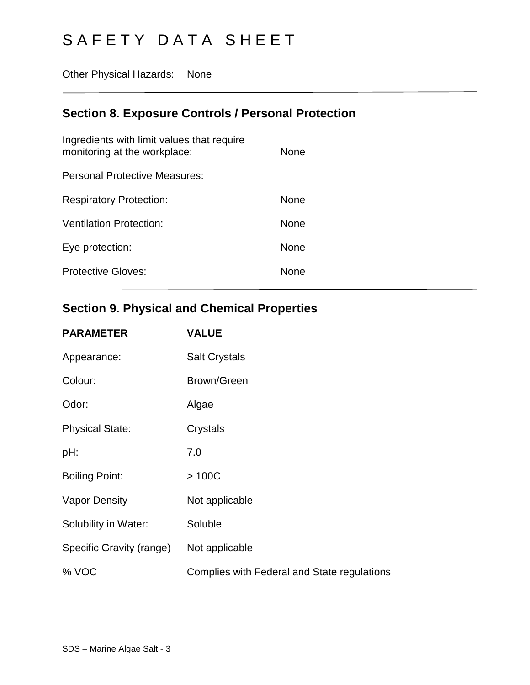Other Physical Hazards: None

# **Section 8. Exposure Controls / Personal Protection**

| Ingredients with limit values that require<br>monitoring at the workplace: | <b>None</b> |
|----------------------------------------------------------------------------|-------------|
| Personal Protective Measures:                                              |             |
| <b>Respiratory Protection:</b>                                             | <b>None</b> |
| Ventilation Protection:                                                    | <b>None</b> |
| Eye protection:                                                            | <b>None</b> |
| <b>Protective Gloves:</b>                                                  | <b>None</b> |

# **Section 9. Physical and Chemical Properties**

| <b>PARAMETER</b>         | <b>VALUE</b>                                |
|--------------------------|---------------------------------------------|
| Appearance:              | <b>Salt Crystals</b>                        |
| Colour:                  | Brown/Green                                 |
| Odor:                    | Algae                                       |
| <b>Physical State:</b>   | Crystals                                    |
| pH:                      | 7.0                                         |
| <b>Boiling Point:</b>    | >100C                                       |
| <b>Vapor Density</b>     | Not applicable                              |
| Solubility in Water:     | Soluble                                     |
| Specific Gravity (range) | Not applicable                              |
| % VOC                    | Complies with Federal and State regulations |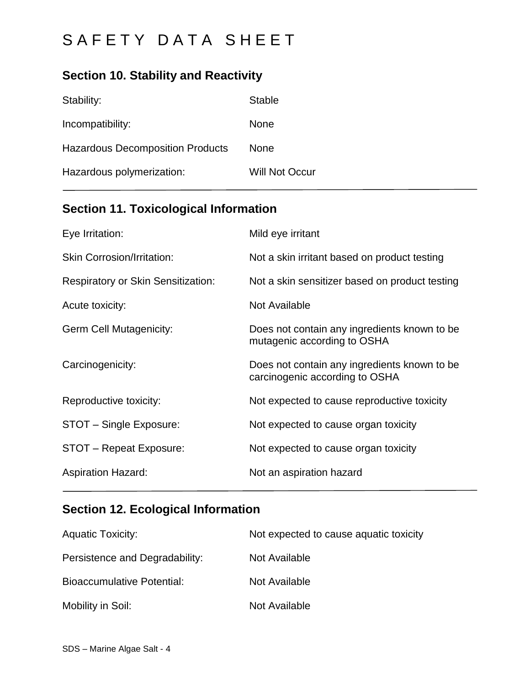# **Section 10. Stability and Reactivity**

| Stability:                              | <b>Stable</b>         |
|-----------------------------------------|-----------------------|
| Incompatibility:                        | None                  |
| <b>Hazardous Decomposition Products</b> | None                  |
| Hazardous polymerization:               | <b>Will Not Occur</b> |

# **Section 11. Toxicological Information**

| Eye Irritation:                           | Mild eye irritant                                                              |
|-------------------------------------------|--------------------------------------------------------------------------------|
| <b>Skin Corrosion/Irritation:</b>         | Not a skin irritant based on product testing                                   |
| <b>Respiratory or Skin Sensitization:</b> | Not a skin sensitizer based on product testing                                 |
| Acute toxicity:                           | Not Available                                                                  |
| <b>Germ Cell Mutagenicity:</b>            | Does not contain any ingredients known to be<br>mutagenic according to OSHA    |
| Carcinogenicity:                          | Does not contain any ingredients known to be<br>carcinogenic according to OSHA |
| Reproductive toxicity:                    | Not expected to cause reproductive toxicity                                    |
| STOT - Single Exposure:                   | Not expected to cause organ toxicity                                           |
| STOT - Repeat Exposure:                   | Not expected to cause organ toxicity                                           |
| <b>Aspiration Hazard:</b>                 | Not an aspiration hazard                                                       |

# **Section 12. Ecological Information**

| <b>Aquatic Toxicity:</b>          | Not expected to cause aquatic toxicity |
|-----------------------------------|----------------------------------------|
| Persistence and Degradability:    | Not Available                          |
| <b>Bioaccumulative Potential:</b> | Not Available                          |
| Mobility in Soil:                 | Not Available                          |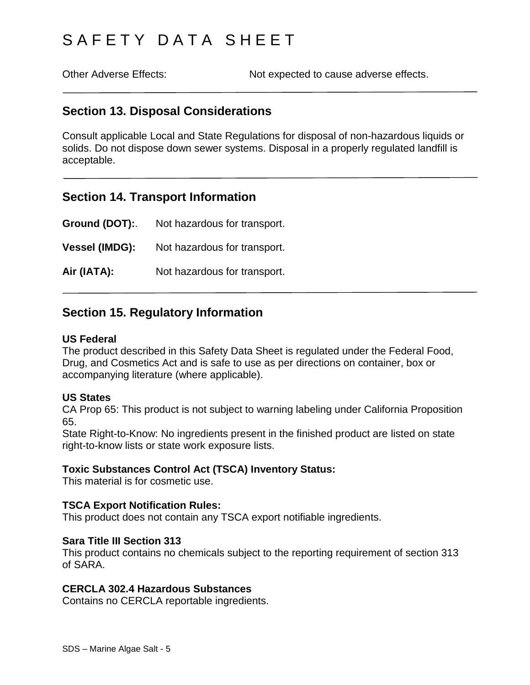Other Adverse Effects: Not expected to cause adverse effects.

### **Section 13. Disposal Considerations**

Consult applicable Local and State Regulations for disposal of non-hazardous liquids or solids. Do not dispose down sewer systems. Disposal in a properly regulated landfill is acceptable.

### **Section 14. Transport Information**

**Ground (DOT):**. Not hazardous for transport. **Vessel (IMDG):** Not hazardous for transport. Air (IATA): Not hazardous for transport.

### **Section 15. Regulatory Information**

### **US Federal**

The product described in this Safety Data Sheet is regulated under the Federal Food, Drug, and Cosmetics Act and is safe to use as per directions on container, box or accompanying literature (where applicable).

### **US States**

CA Prop 65: This product is not subject to warning labeling under California Proposition 65.

State Right-to-Know: No ingredients present in the finished product are listed on state right-to-know lists or state work exposure lists.

### **Toxic Substances Control Act (TSCA) Inventory Status:**

This material is for cosmetic use.

### **TSCA Export Notification Rules:**

This product does not contain any TSCA export notifiable ingredients.

#### **Sara Title III Section 313**

This product contains no chemicals subject to the reporting requirement of section 313 of SARA.

#### **CERCLA 302.4 Hazardous Substances**

Contains no CERCLA reportable ingredients.